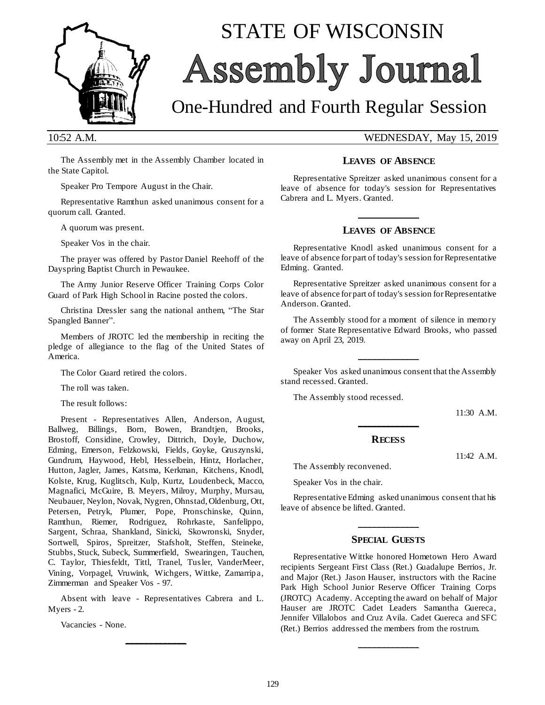

# STATE OF WISCONSIN Assembly Journal

## One-Hundred and Fourth Regular Session

10:52 A.M. WEDNESDAY, May 15, 2019

The Assembly met in the Assembly Chamber located in the State Capitol.

Speaker Pro Tempore August in the Chair.

Representative Ramthun asked unanimous consent for a quorum call. Granted.

A quorum was present.

Speaker Vos in the chair.

The prayer was offered by Pastor Daniel Reehoff of the Dayspring Baptist Church in Pewaukee.

The Army Junior Reserve Officer Training Corps Color Guard of Park High School in Racine posted the colors.

Christina Dressler sang the national anthem, "The Star Spangled Banner".

Members of JROTC led the membership in reciting the pledge of allegiance to the flag of the United States of America.

The Color Guard retired the colors.

The roll was taken.

The result follows:

Present - Representatives Allen, Anderson, August, Ballweg, Billings, Born, Bowen, Brandtjen, Brooks, Brostoff, Considine, Crowley, Dittrich, Doyle, Duchow, Edming, Emerson, Felzkowski, Fields, Goyke, Gruszynski, Gundrum, Haywood, Hebl, Hesselbein, Hintz, Horlacher, Hutton, Jagler, James, Katsma, Kerkman, Kitchens, Knodl, Kolste, Krug, Kuglitsch, Kulp, Kurtz, Loudenbeck, Macco, Magnafici, McGuire, B. Meyers, Milroy, Murphy, Mursau, Neubauer, Neylon, Novak, Nygren, Ohnstad, Oldenburg, Ott, Petersen, Petryk, Plumer, Pope, Pronschinske, Quinn, Ramthun, Riemer, Rodriguez, Rohrkaste, Sanfelippo, Sargent, Schraa, Shankland, Sinicki, Skowronski, Snyder, Sortwell, Spiros, Spreitzer, Stafsholt, Steffen, Steineke, Stubbs, Stuck, Subeck, Summerfield, Swearingen, Tauchen, C. Taylor, Thiesfeldt, Tittl, Tranel, Tusler, VanderMeer, Vining, Vorpagel, Vruwink, Wichgers, Wittke, Zamarripa, Zimmerman and Speaker Vos - 97.

Absent with leave - Representatives Cabrera and L. Myers - 2.

**\_\_\_\_\_\_\_\_\_\_\_\_\_**

Vacancies - None.

### **LEAVES OF ABSENCE**

Representative Spreitzer asked unanimous consent for a leave of absence for today's session for Representatives Cabrera and L. Myers. Granted.

## **\_\_\_\_\_\_\_\_\_\_\_\_\_ LEAVES OF ABSENCE**

Representative Knodl asked unanimous consent for a leave of absence for part of today's session for Representative Edming. Granted.

Representative Spreitzer asked unanimous consent for a leave of absence for part of today's session for Representative Anderson. Granted.

The Assembly stood for a moment of silence in memory of former State Representative Edward Brooks, who passed away on April 23, 2019.

Speaker Vos asked unanimous consent that the Assembly stand recessed. Granted.

**\_\_\_\_\_\_\_\_\_\_\_\_\_**

The Assembly stood recessed.

11:30 A.M.

11:42 A.M.

## **\_\_\_\_\_\_\_\_\_\_\_\_\_ RECESS**

The Assembly reconvened.

Speaker Vos in the chair.

Representative Edming asked unanimous consent that his leave of absence be lifted. Granted.

## **\_\_\_\_\_\_\_\_\_\_\_\_\_ SPECIAL GUESTS**

Representative Wittke honored Hometown Hero Award recipients Sergeant First Class (Ret.) Guadalupe Berrios, Jr. and Major (Ret.) Jason Hauser, instructors with the Racine Park High School Junior Reserve Officer Training Corps (JROTC) Academy. Accepting the award on behalf of Major Hauser are JROTC Cadet Leaders Samantha Guereca, Jennifer Villalobos and Cruz Avila. Cadet Guereca and SFC (Ret.) Berrios addressed the members from the rostrum.

**\_\_\_\_\_\_\_\_\_\_\_\_\_**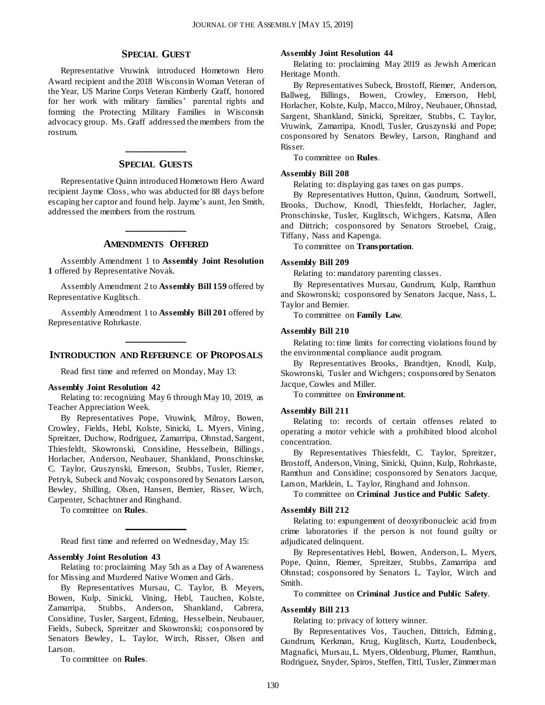#### **SPECIAL GUEST**

Representative Vruwink introduced Hometown Hero Award recipient and the 2018 Wisconsin Woman Veteran of the Year, US Marine Corps Veteran Kimberly Graff, honored for her work with military families' parental rights and forming the Protecting Military Families in Wisconsin advocacy group. Ms. Graff addressed the members from the rostrum.

## **\_\_\_\_\_\_\_\_\_\_\_\_\_ SPECIAL GUESTS**

Representative Quinn introduced Hometown Hero Award recipient Jayme Closs, who was abducted for 88 days before escaping her captor and found help. Jayme's aunt, Jen Smith, addressed the members from the rostrum.

## **\_\_\_\_\_\_\_\_\_\_\_\_\_ AMENDMENTS OFFERED**

Assembly Amendment 1 to **Assembly Joint Resolution 1** offered by Representative Novak.

Assembly Amendment 2 to **Assembly Bill 159** offered by Representative Kuglitsch.

Assembly Amendment 1 to **Assembly Bill 201** offered by Representative Rohrkaste.

## **\_\_\_\_\_\_\_\_\_\_\_\_\_ INTRODUCTION AND REFERENCE OF PROPOSALS**

Read first time and referred on Monday, May 13:

#### **Assembly Joint Resolution 42**

Relating to: recognizing May 6 through May 10, 2019, as Teacher Appreciation Week.

By Representatives Pope, Vruwink, Milroy, Bowen, Crowley, Fields, Hebl, Kolste, Sinicki, L. Myers, Vining, Spreitzer, Duchow, Rodriguez, Zamarripa, Ohnstad, Sargent, Thiesfeldt, Skowronski, Considine, Hesselbein, Billings , Horlacher, Anderson, Neubauer, Shankland, Pronschinske, C. Taylor, Gruszynski, Emerson, Stubbs, Tusler, Riemer, Petryk, Subeck and Novak; cosponsored by Senators Larson, Bewley, Shilling, Olsen, Hansen, Bernier, Risser, Wirch, Carpenter, Schachtner and Ringhand.

To committee on **Rules**.

**\_\_\_\_\_\_\_\_\_\_\_\_\_** Read first time and referred on Wednesday, May 15:

#### **Assembly Joint Resolution 43**

Relating to: proclaiming May 5th as a Day of Awareness for Missing and Murdered Native Women and Girls.

By Representatives Mursau, C. Taylor, B. Meyers, Bowen, Kulp, Sinicki, Vining, Hebl, Tauchen, Kolste, Zamarripa, Stubbs, Anderson, Shankland, Cabrera, Considine, Tusler, Sargent, Edming, Hesselbein, Neubauer, Fields, Subeck, Spreitzer and Skowronski; cosponsored by Senators Bewley, L. Taylor, Wirch, Risser, Olsen and Larson.

To committee on **Rules**.

#### **Assembly Joint Resolution 44**

Relating to: proclaiming May 2019 as Jewish American Heritage Month.

By Representatives Subeck, Brostoff, Riemer, Anderson, Ballweg, Billings, Bowen, Crowley, Emerson, Hebl, Horlacher, Kolste, Kulp, Macco, Milroy, Neubauer, Ohnstad, Sargent, Shankland, Sinicki, Spreitzer, Stubbs, C. Taylor, Vruwink, Zamarripa, Knodl, Tusler, Gruszynski and Pope; cosponsored by Senators Bewley, Larson, Ringhand and Risser.

To committee on **Rules**.

#### **Assembly Bill 208**

Relating to: displaying gas taxes on gas pumps.

By Representatives Hutton, Quinn, Gundrum, Sortwell, Brooks, Duchow, Knodl, Thiesfeldt, Horlacher, Jagler, Pronschinske, Tusler, Kuglitsch, Wichgers, Katsma, Allen and Dittrich; cosponsored by Senators Stroebel, Craig, Tiffany, Nass and Kapenga.

To committee on **Transportation**.

#### **Assembly Bill 209**

Relating to: mandatory parenting classes.

By Representatives Mursau, Gundrum, Kulp, Ramthun and Skowronski; cosponsored by Senators Jacque, Nass, L. Taylor and Bernier.

To committee on **Family Law**.

#### **Assembly Bill 210**

Relating to: time limits for correcting violations found by the environmental compliance audit program.

By Representatives Brooks, Brandtjen, Knodl, Kulp, Skowronski, Tusler and Wichgers; cosponsored by Senators Jacque, Cowles and Miller.

To committee on **Environment**.

#### **Assembly Bill 211**

Relating to: records of certain offenses related to operating a motor vehicle with a prohibited blood alcohol concentration.

By Representatives Thiesfeldt, C. Taylor, Spreitzer, Brostoff, Anderson, Vining, Sinicki, Quinn, Kulp, Rohrkaste, Ramthun and Considine; cosponsored by Senators Jacque, Larson, Marklein, L. Taylor, Ringhand and Johnson.

To committee on **Criminal Justice and Public Safety**.

#### **Assembly Bill 212**

Relating to: expungement of deoxyribonucleic acid from crime laboratories if the person is not found guilty or adjudicated delinquent.

By Representatives Hebl, Bowen, Anderson, L. Myers, Pope, Quinn, Riemer, Spreitzer, Stubbs, Zamarripa and Ohnstad; cosponsored by Senators L. Taylor, Wirch and Smith.

To committee on **Criminal Justice and Public Safety**.

#### **Assembly Bill 213**

Relating to: privacy of lottery winner.

By Representatives Vos, Tauchen, Dittrich, Edming, Gundrum, Kerkman, Krug, Kuglitsch, Kurtz, Loudenbeck, Magnafici, Mursau, L. Myers, Oldenburg, Plumer, Ramthun, Rodriguez, Snyder, Spiros, Steffen, Tittl, Tusler, Zimmer man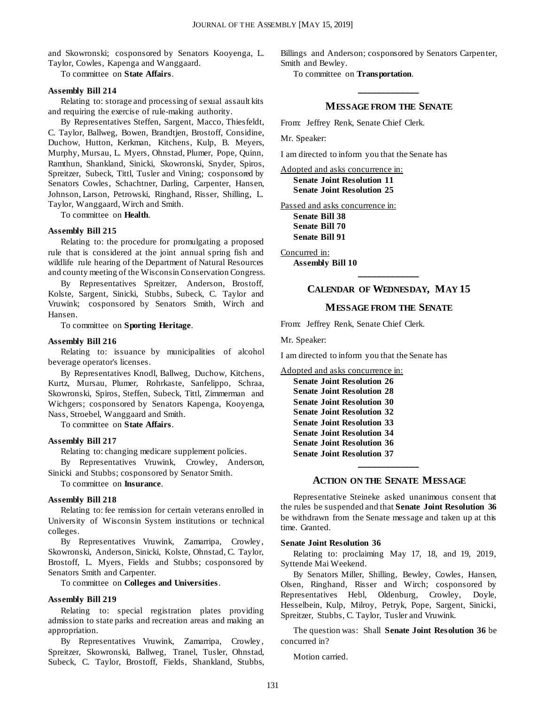and Skowronski; cosponsored by Senators Kooyenga, L. Taylor, Cowles, Kapenga and Wanggaard.

To committee on **State Affairs**.

#### **Assembly Bill 214**

Relating to: storage and processing of sexual assault kits and requiring the exercise of rule-making authority.

By Representatives Steffen, Sargent, Macco, Thiesfeldt, C. Taylor, Ballweg, Bowen, Brandtjen, Brostoff, Considine, Duchow, Hutton, Kerkman, Kitchens, Kulp, B. Meyers, Murphy, Mursau, L. Myers, Ohnstad, Plumer, Pope, Quinn, Ramthun, Shankland, Sinicki, Skowronski, Snyder, Spiros, Spreitzer, Subeck, Tittl, Tusler and Vining; cosponsored by Senators Cowles, Schachtner, Darling, Carpenter, Hansen, Johnson, Larson, Petrowski, Ringhand, Risser, Shilling, L. Taylor, Wanggaard, Wirch and Smith.

To committee on **Health**.

#### **Assembly Bill 215**

Relating to: the procedure for promulgating a proposed rule that is considered at the joint annual spring fish and wildlife rule hearing of the Department of Natural Resources and county meeting of the Wisconsin Conservation Congress.

By Representatives Spreitzer, Anderson, Brostoff, Kolste, Sargent, Sinicki, Stubbs, Subeck, C. Taylor and Vruwink; cosponsored by Senators Smith, Wirch and Hansen.

To committee on **Sporting Heritage**.

#### **Assembly Bill 216**

Relating to: issuance by municipalities of alcohol beverage operator's licenses.

By Representatives Knodl, Ballweg, Duchow, Kitchens, Kurtz, Mursau, Plumer, Rohrkaste, Sanfelippo, Schraa, Skowronski, Spiros, Steffen, Subeck, Tittl, Zimmerman and Wichgers; cosponsored by Senators Kapenga, Kooyenga, Nass, Stroebel, Wanggaard and Smith.

To committee on **State Affairs**.

#### **Assembly Bill 217**

Relating to: changing medicare supplement policies.

By Representatives Vruwink, Crowley, Anderson, Sinicki and Stubbs; cosponsored by Senator Smith.

To committee on **Insurance**.

#### **Assembly Bill 218**

Relating to: fee remission for certain veterans enrolled in University of Wisconsin System institutions or technical colleges.

By Representatives Vruwink, Zamarripa, Crowley, Skowronski, Anderson, Sinicki, Kolste, Ohnstad, C. Taylor, Brostoff, L. Myers, Fields and Stubbs; cosponsored by Senators Smith and Carpenter.

To committee on **Colleges and Universities**.

#### **Assembly Bill 219**

Relating to: special registration plates providing admission to state parks and recreation areas and making an appropriation.

By Representatives Vruwink, Zamarripa, Crowley, Spreitzer, Skowronski, Ballweg, Tranel, Tusler, Ohnstad, Subeck, C. Taylor, Brostoff, Fields, Shankland, Stubbs, Billings and Anderson; cosponsored by Senators Carpenter, Smith and Bewley.

To committee on **Transportation**.

## **\_\_\_\_\_\_\_\_\_\_\_\_\_ MESSAGE FROM THE SENATE**

From: Jeffrey Renk, Senate Chief Clerk.

Mr. Speaker:

I am directed to inform you that the Senate has

Adopted and asks concurrence in: **Senate Joint Resolution 11 Senate Joint Resolution 25**

Passed and asks concurrence in: **Senate Bill 38 Senate Bill 70 Senate Bill 91**

Concurred in: **Assembly Bill 10**

## **\_\_\_\_\_\_\_\_\_\_\_\_\_ CALENDAR OF WEDNESDAY, MAY 15**

#### **MESSAGE FROM THE SENATE**

From: Jeffrey Renk, Senate Chief Clerk.

Mr. Speaker:

I am directed to inform you that the Senate has

Adopted and asks concurrence in:

| <b>Senate Joint Resolution 26</b> |
|-----------------------------------|
| <b>Senate Joint Resolution 28</b> |
| <b>Senate Joint Resolution 30</b> |
| <b>Senate Joint Resolution 32</b> |
| <b>Senate Joint Resolution 33</b> |
| <b>Senate Joint Resolution 34</b> |
| <b>Senate Joint Resolution 36</b> |
| <b>Senate Joint Resolution 37</b> |
|                                   |

#### **ACTION ON THE SENATE MESSAGE**

Representative Steineke asked unanimous consent that the rules be suspended and that **Senate Joint Resolution 36** be withdrawn from the Senate message and taken up at this time. Granted.

#### **Senate Joint Resolution 36**

Relating to: proclaiming May 17, 18, and 19, 2019, Syttende Mai Weekend.

By Senators Miller, Shilling, Bewley, Cowles, Hansen, Olsen, Ringhand, Risser and Wirch; cosponsored by Representatives Hebl, Oldenburg, Crowley, Doyle, Hesselbein, Kulp, Milroy, Petryk, Pope, Sargent, Sinicki, Spreitzer, Stubbs, C. Taylor, Tusler and Vruwink.

The question was: Shall **Senate Joint Resolution 36** be concurred in?

Motion carried.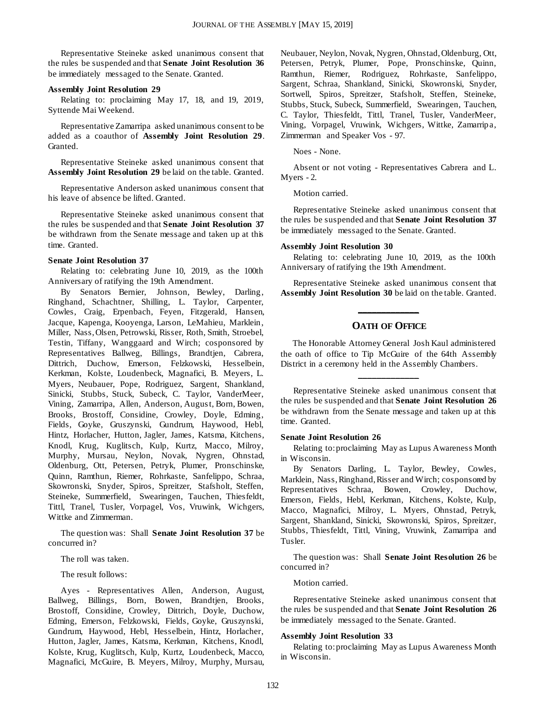Representative Steineke asked unanimous consent that the rules be suspended and that **Senate Joint Resolution 36** be immediately messaged to the Senate. Granted.

#### **Assembly Joint Resolution 29**

Relating to: proclaiming May 17, 18, and 19, 2019, Syttende Mai Weekend.

Representative Zamarripa asked unanimous consent to be added as a coauthor of **Assembly Joint Resolution 29**. Granted.

Representative Steineke asked unanimous consent that **Assembly Joint Resolution 29** be laid on the table. Granted.

Representative Anderson asked unanimous consent that his leave of absence be lifted. Granted.

Representative Steineke asked unanimous consent that the rules be suspended and that **Senate Joint Resolution 37** be withdrawn from the Senate message and taken up at this time. Granted.

#### **Senate Joint Resolution 37**

Relating to: celebrating June 10, 2019, as the 100th Anniversary of ratifying the 19th Amendment.

By Senators Bernier, Johnson, Bewley, Darling, Ringhand, Schachtner, Shilling, L. Taylor, Carpenter, Cowles, Craig, Erpenbach, Feyen, Fitzgerald, Hansen, Jacque, Kapenga, Kooyenga, Larson, LeMahieu, Marklein, Miller, Nass, Olsen, Petrowski, Risser, Roth, Smith, Stroebel, Testin, Tiffany, Wanggaard and Wirch; cosponsored by Representatives Ballweg, Billings, Brandtjen, Cabrera, Dittrich, Duchow, Emerson, Felzkowski, Hesselbein, Kerkman, Kolste, Loudenbeck, Magnafici, B. Meyers, L. Myers, Neubauer, Pope, Rodriguez, Sargent, Shankland, Sinicki, Stubbs, Stuck, Subeck, C. Taylor, VanderMeer, Vining, Zamarripa, Allen, Anderson, August, Born, Bowen, Brooks, Brostoff, Considine, Crowley, Doyle, Edming, Fields, Goyke, Gruszynski, Gundrum, Haywood, Hebl, Hintz, Horlacher, Hutton, Jagler, James, Katsma, Kitchens, Knodl, Krug, Kuglitsch, Kulp, Kurtz, Macco, Milroy, Murphy, Mursau, Neylon, Novak, Nygren, Ohnstad, Oldenburg, Ott, Petersen, Petryk, Plumer, Pronschinske, Quinn, Ramthun, Riemer, Rohrkaste, Sanfelippo, Schraa, Skowronski, Snyder, Spiros, Spreitzer, Stafsholt, Steffen, Steineke, Summerfield, Swearingen, Tauchen, Thiesfeldt, Tittl, Tranel, Tusler, Vorpagel, Vos, Vruwink, Wichgers, Wittke and Zimmerman.

The question was: Shall **Senate Joint Resolution 37** be concurred in?

The roll was taken.

The result follows:

Ayes - Representatives Allen, Anderson, August, Ballweg, Billings, Born, Bowen, Brandtjen, Brooks, Brostoff, Considine, Crowley, Dittrich, Doyle, Duchow, Edming, Emerson, Felzkowski, Fields, Goyke, Gruszynski, Gundrum, Haywood, Hebl, Hesselbein, Hintz, Horlacher, Hutton, Jagler, James, Katsma, Kerkman, Kitchens, Knodl, Kolste, Krug, Kuglitsch, Kulp, Kurtz, Loudenbeck, Macco, Magnafici, McGuire, B. Meyers, Milroy, Murphy, Mursau, Neubauer, Neylon, Novak, Nygren, Ohnstad, Oldenburg, Ott, Petersen, Petryk, Plumer, Pope, Pronschinske, Quinn, Ramthun, Riemer, Rodriguez, Rohrkaste, Sanfelippo, Sargent, Schraa, Shankland, Sinicki, Skowronski, Snyder, Sortwell, Spiros, Spreitzer, Stafsholt, Steffen, Steineke, Stubbs, Stuck, Subeck, Summerfield, Swearingen, Tauchen, C. Taylor, Thiesfeldt, Tittl, Tranel, Tusler, VanderMeer, Vining, Vorpagel, Vruwink, Wichgers, Wittke, Zamarripa, Zimmerman and Speaker Vos - 97.

Noes - None.

Absent or not voting - Representatives Cabrera and L. Myers - 2.

Motion carried.

Representative Steineke asked unanimous consent that the rules be suspended and that **Senate Joint Resolution 37** be immediately messaged to the Senate. Granted.

#### **Assembly Joint Resolution 30**

Relating to: celebrating June 10, 2019, as the 100th Anniversary of ratifying the 19th Amendment.

Representative Steineke asked unanimous consent that **Assembly Joint Resolution 30** be laid on the table. Granted.

## **\_\_\_\_\_\_\_\_\_\_\_\_\_ OATH OF OFFICE**

The Honorable Attorney General Josh Kaul administered the oath of office to Tip McGuire of the 64th Assembly District in a ceremony held in the Assembly Chambers.

**\_\_\_\_\_\_\_\_\_\_\_\_\_**

Representative Steineke asked unanimous consent that the rules be suspended and that **Senate Joint Resolution 26** be withdrawn from the Senate message and taken up at this time. Granted.

#### **Senate Joint Resolution 26**

Relating to: proclaiming May as Lupus Awareness Month in Wisconsin.

By Senators Darling, L. Taylor, Bewley, Cowles, Marklein, Nass, Ringhand, Risser and Wirch; cosponsored by Representatives Schraa, Bowen, Crowley, Duchow, Emerson, Fields, Hebl, Kerkman, Kitchens, Kolste, Kulp, Macco, Magnafici, Milroy, L. Myers, Ohnstad, Petryk, Sargent, Shankland, Sinicki, Skowronski, Spiros, Spreitzer, Stubbs, Thiesfeldt, Tittl, Vining, Vruwink, Zamarripa and Tusler.

The question was: Shall **Senate Joint Resolution 26** be concurred in?

Motion carried.

Representative Steineke asked unanimous consent that the rules be suspended and that **Senate Joint Resolution 26** be immediately messaged to the Senate. Granted.

#### **Assembly Joint Resolution 33**

Relating to: proclaiming May as Lupus Awareness Month in Wisconsin.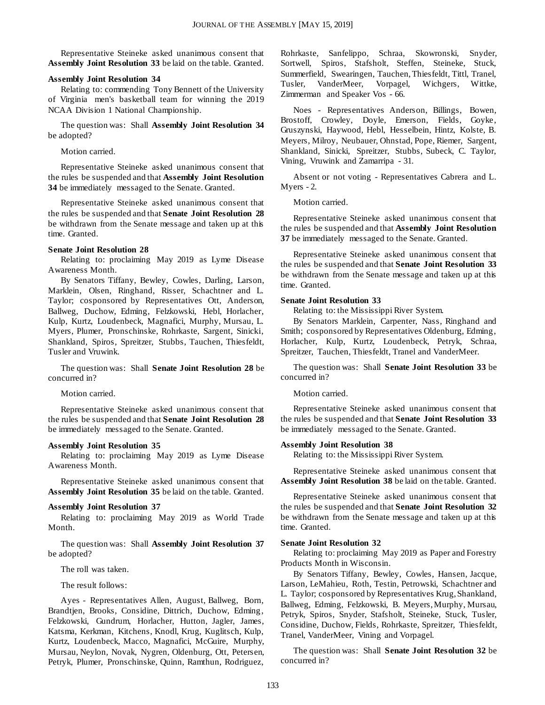Representative Steineke asked unanimous consent that **Assembly Joint Resolution 33** be laid on the table. Granted.

#### **Assembly Joint Resolution 34**

Relating to: commending Tony Bennett of the University of Virginia men's basketball team for winning the 2019 NCAA Division 1 National Championship.

The question was: Shall **Assembly Joint Resolution 34** be adopted?

Motion carried.

Representative Steineke asked unanimous consent that the rules be suspended and that **Assembly Joint Resolution 34** be immediately messaged to the Senate. Granted.

Representative Steineke asked unanimous consent that the rules be suspended and that **Senate Joint Resolution 28** be withdrawn from the Senate message and taken up at this time. Granted.

#### **Senate Joint Resolution 28**

Relating to: proclaiming May 2019 as Lyme Disease Awareness Month.

By Senators Tiffany, Bewley, Cowles, Darling, Larson, Marklein, Olsen, Ringhand, Risser, Schachtner and L. Taylor; cosponsored by Representatives Ott, Anderson, Ballweg, Duchow, Edming, Felzkowski, Hebl, Horlacher, Kulp, Kurtz, Loudenbeck, Magnafici, Murphy, Mursau, L. Myers, Plumer, Pronschinske, Rohrkaste, Sargent, Sinicki, Shankland, Spiros, Spreitzer, Stubbs, Tauchen, Thiesfeldt, Tusler and Vruwink.

The question was: Shall **Senate Joint Resolution 28** be concurred in?

Motion carried.

Representative Steineke asked unanimous consent that the rules be suspended and that **Senate Joint Resolution 28** be immediately messaged to the Senate. Granted.

#### **Assembly Joint Resolution 35**

Relating to: proclaiming May 2019 as Lyme Disease Awareness Month.

Representative Steineke asked unanimous consent that **Assembly Joint Resolution 35** be laid on the table. Granted.

#### **Assembly Joint Resolution 37**

Relating to: proclaiming May 2019 as World Trade Month.

The question was: Shall **Assembly Joint Resolution 37** be adopted?

The roll was taken.

The result follows:

Ayes - Representatives Allen, August, Ballweg, Born, Brandtjen, Brooks, Considine, Dittrich, Duchow, Edming, Felzkowski, Gundrum, Horlacher, Hutton, Jagler, James, Katsma, Kerkman, Kitchens, Knodl, Krug, Kuglitsch, Kulp, Kurtz, Loudenbeck, Macco, Magnafici, McGuire, Murphy, Mursau, Neylon, Novak, Nygren, Oldenburg, Ott, Petersen, Petryk, Plumer, Pronschinske, Quinn, Ramthun, Rodriguez, Rohrkaste, Sanfelippo, Schraa, Skowronski, Snyder, Sortwell, Spiros, Stafsholt, Steffen, Steineke, Stuck, Summerfield, Swearingen, Tauchen, Thiesfeldt, Tittl, Tranel, Tusler, VanderMeer, Vorpagel, Wichgers, Wittke, Zimmerman and Speaker Vos - 66.

Noes - Representatives Anderson, Billings, Bowen, Brostoff, Crowley, Doyle, Emerson, Fields, Goyke, Gruszynski, Haywood, Hebl, Hesselbein, Hintz, Kolste, B. Meyers, Milroy, Neubauer, Ohnstad, Pope, Riemer, Sargent, Shankland, Sinicki, Spreitzer, Stubbs, Subeck, C. Taylor, Vining, Vruwink and Zamarripa - 31.

Absent or not voting - Representatives Cabrera and L. Myers - 2.

Motion carried.

Representative Steineke asked unanimous consent that the rules be suspended and that **Assembly Joint Resolution 37** be immediately messaged to the Senate. Granted.

Representative Steineke asked unanimous consent that the rules be suspended and that **Senate Joint Resolution 33** be withdrawn from the Senate message and taken up at this time. Granted.

#### **Senate Joint Resolution 33**

Relating to: the Mississippi River System.

By Senators Marklein, Carpenter, Nass, Ringhand and Smith; cosponsored by Representatives Oldenburg, Edming, Horlacher, Kulp, Kurtz, Loudenbeck, Petryk, Schraa, Spreitzer, Tauchen, Thiesfeldt, Tranel and VanderMeer.

The question was: Shall **Senate Joint Resolution 33** be concurred in?

Motion carried.

Representative Steineke asked unanimous consent that the rules be suspended and that **Senate Joint Resolution 33** be immediately messaged to the Senate. Granted.

#### **Assembly Joint Resolution 38**

Relating to: the Mississippi River System.

Representative Steineke asked unanimous consent that **Assembly Joint Resolution 38** be laid on the table. Granted.

Representative Steineke asked unanimous consent that the rules be suspended and that **Senate Joint Resolution 32** be withdrawn from the Senate message and taken up at this time. Granted.

#### **Senate Joint Resolution 32**

Relating to: proclaiming May 2019 as Paper and Forestry Products Month in Wisconsin.

By Senators Tiffany, Bewley, Cowles, Hansen, Jacque, Larson, LeMahieu, Roth, Testin, Petrowski, Schachtner and L. Taylor; cosponsored by Representatives Krug, Shankland, Ballweg, Edming, Felzkowski, B. Meyers, Murphy, Mursau, Petryk, Spiros, Snyder, Stafsholt, Steineke, Stuck, Tusler, Considine, Duchow, Fields, Rohrkaste, Spreitzer, Thiesfeldt, Tranel, VanderMeer, Vining and Vorpagel.

The question was: Shall **Senate Joint Resolution 32** be concurred in?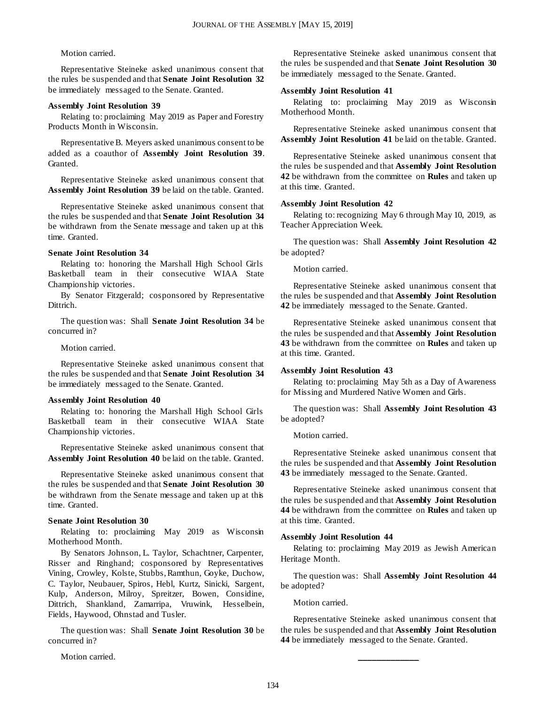#### Motion carried.

Representative Steineke asked unanimous consent that the rules be suspended and that **Senate Joint Resolution 32** be immediately messaged to the Senate. Granted.

#### **Assembly Joint Resolution 39**

Relating to: proclaiming May 2019 as Paper and Forestry Products Month in Wisconsin.

Representative B. Meyers asked unanimous consent to be added as a coauthor of **Assembly Joint Resolution 39**. Granted.

Representative Steineke asked unanimous consent that **Assembly Joint Resolution 39** be laid on the table. Granted.

Representative Steineke asked unanimous consent that the rules be suspended and that **Senate Joint Resolution 34** be withdrawn from the Senate message and taken up at this time. Granted.

#### **Senate Joint Resolution 34**

Relating to: honoring the Marshall High School Girls Basketball team in their consecutive WIAA State Championship victories.

By Senator Fitzgerald; cosponsored by Representative Dittrich.

The question was: Shall **Senate Joint Resolution 34** be concurred in?

#### Motion carried.

Representative Steineke asked unanimous consent that the rules be suspended and that **Senate Joint Resolution 34** be immediately messaged to the Senate. Granted.

#### **Assembly Joint Resolution 40**

Relating to: honoring the Marshall High School Girls Basketball team in their consecutive WIAA State Championship victories.

Representative Steineke asked unanimous consent that **Assembly Joint Resolution 40** be laid on the table. Granted.

Representative Steineke asked unanimous consent that the rules be suspended and that **Senate Joint Resolution 30** be withdrawn from the Senate message and taken up at this time. Granted.

#### **Senate Joint Resolution 30**

Relating to: proclaiming May 2019 as Wisconsin Motherhood Month.

By Senators Johnson, L. Taylor, Schachtner, Carpenter, Risser and Ringhand; cosponsored by Representatives Vining, Crowley, Kolste, Stubbs, Ramthun, Goyke, Duchow, C. Taylor, Neubauer, Spiros, Hebl, Kurtz, Sinicki, Sargent, Kulp, Anderson, Milroy, Spreitzer, Bowen, Considine, Dittrich, Shankland, Zamarripa, Vruwink, Hesselbein, Fields, Haywood, Ohnstad and Tusler.

The question was: Shall **Senate Joint Resolution 30** be concurred in?

Motion carried.

Representative Steineke asked unanimous consent that the rules be suspended and that **Senate Joint Resolution 30** be immediately messaged to the Senate. Granted.

#### **Assembly Joint Resolution 41**

Relating to: proclaiming May 2019 as Wisconsin Motherhood Month.

Representative Steineke asked unanimous consent that **Assembly Joint Resolution 41** be laid on the table. Granted.

Representative Steineke asked unanimous consent that the rules be suspended and that **Assembly Joint Resolution 42** be withdrawn from the committee on **Rules** and taken up at this time. Granted.

#### **Assembly Joint Resolution 42**

Relating to: recognizing May 6 through May 10, 2019, as Teacher Appreciation Week.

The question was: Shall **Assembly Joint Resolution 42** be adopted?

Motion carried.

Representative Steineke asked unanimous consent that the rules be suspended and that **Assembly Joint Resolution 42** be immediately messaged to the Senate. Granted.

Representative Steineke asked unanimous consent that the rules be suspended and that **Assembly Joint Resolution 43** be withdrawn from the committee on **Rules** and taken up at this time. Granted.

#### **Assembly Joint Resolution 43**

Relating to: proclaiming May 5th as a Day of Awareness for Missing and Murdered Native Women and Girls.

The question was: Shall **Assembly Joint Resolution 43** be adopted?

Motion carried.

Representative Steineke asked unanimous consent that the rules be suspended and that **Assembly Joint Resolution 43** be immediately messaged to the Senate. Granted.

Representative Steineke asked unanimous consent that the rules be suspended and that **Assembly Joint Resolution 44** be withdrawn from the committee on **Rules** and taken up at this time. Granted.

#### **Assembly Joint Resolution 44**

Relating to: proclaiming May 2019 as Jewish American Heritage Month.

The question was: Shall **Assembly Joint Resolution 44** be adopted?

Motion carried.

Representative Steineke asked unanimous consent that the rules be suspended and that **Assembly Joint Resolution 44** be immediately messaged to the Senate. Granted.

**\_\_\_\_\_\_\_\_\_\_\_\_\_**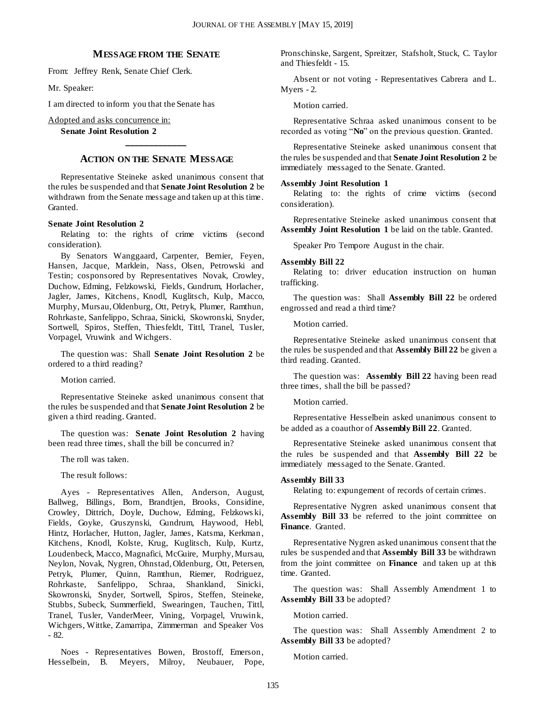#### **MESSAGE FROM THE SENATE**

From: Jeffrey Renk, Senate Chief Clerk.

Mr. Speaker:

I am directed to inform you that the Senate has

Adopted and asks concurrence in:

**Senate Joint Resolution 2**

## **\_\_\_\_\_\_\_\_\_\_\_\_\_ ACTION ON THE SENATE MESSAGE**

Representative Steineke asked unanimous consent that the rules be suspended and that **Senate Joint Resolution 2** be withdrawn from the Senate message and taken up at this time. Granted.

#### **Senate Joint Resolution 2**

Relating to: the rights of crime victims (second consideration).

By Senators Wanggaard, Carpenter, Bernier, Feyen, Hansen, Jacque, Marklein, Nass, Olsen, Petrowski and Testin; cosponsored by Representatives Novak, Crowley, Duchow, Edming, Felzkowski, Fields, Gundrum, Horlacher, Jagler, James, Kitchens, Knodl, Kuglitsch, Kulp, Macco, Murphy, Mursau, Oldenburg, Ott, Petryk, Plumer, Ramthun, Rohrkaste, Sanfelippo, Schraa, Sinicki, Skowronski, Snyder, Sortwell, Spiros, Steffen, Thiesfeldt, Tittl, Tranel, Tusler, Vorpagel, Vruwink and Wichgers.

The question was: Shall **Senate Joint Resolution 2** be ordered to a third reading?

Motion carried.

Representative Steineke asked unanimous consent that the rules be suspended and that **Senate Joint Resolution 2** be given a third reading. Granted.

The question was: **Senate Joint Resolution 2** having been read three times, shall the bill be concurred in?

The roll was taken.

The result follows:

Ayes - Representatives Allen, Anderson, August, Ballweg, Billings, Born, Brandtjen, Brooks, Considine, Crowley, Dittrich, Doyle, Duchow, Edming, Felzkows ki, Fields, Goyke, Gruszynski, Gundrum, Haywood, Hebl, Hintz, Horlacher, Hutton, Jagler, James, Katsma, Kerkman, Kitchens, Knodl, Kolste, Krug, Kuglitsch, Kulp, Kurtz, Loudenbeck, Macco, Magnafici, McGuire, Murphy, Mursau, Neylon, Novak, Nygren, Ohnstad, Oldenburg, Ott, Petersen, Petryk, Plumer, Quinn, Ramthun, Riemer, Rodriguez, Rohrkaste, Sanfelippo, Schraa, Shankland, Sinicki, Skowronski, Snyder, Sortwell, Spiros, Steffen, Steineke, Stubbs, Subeck, Summerfield, Swearingen, Tauchen, Tittl, Tranel, Tusler, VanderMeer, Vining, Vorpagel, Vruwink, Wichgers, Wittke, Zamarripa, Zimmerman and Speaker Vos - 82.

Noes - Representatives Bowen, Brostoff, Emerson, Hesselbein, B. Meyers, Milroy, Neubauer, Pope, Pronschinske, Sargent, Spreitzer, Stafsholt, Stuck, C. Taylor and Thiesfeldt - 15.

Absent or not voting - Representatives Cabrera and L. Myers - 2.

Motion carried.

Representative Schraa asked unanimous consent to be recorded as voting "**No**" on the previous question. Granted.

Representative Steineke asked unanimous consent that the rules be suspended and that **Senate Joint Resolution 2** be immediately messaged to the Senate. Granted.

#### **Assembly Joint Resolution 1**

Relating to: the rights of crime victims (second consideration).

Representative Steineke asked unanimous consent that **Assembly Joint Resolution 1** be laid on the table. Granted.

Speaker Pro Tempore August in the chair.

#### **Assembly Bill 22**

Relating to: driver education instruction on human trafficking.

The question was: Shall **Assembly Bill 22** be ordered engrossed and read a third time?

Motion carried.

Representative Steineke asked unanimous consent that the rules be suspended and that **Assembly Bill 22** be given a third reading. Granted.

The question was: **Assembly Bill 22** having been read three times, shall the bill be passed?

Motion carried.

Representative Hesselbein asked unanimous consent to be added as a coauthor of **Assembly Bill 22**. Granted.

Representative Steineke asked unanimous consent that the rules be suspended and that **Assembly Bill 22** be immediately messaged to the Senate. Granted.

#### **Assembly Bill 33**

Relating to: expungement of records of certain crimes.

Representative Nygren asked unanimous consent that Assembly Bill 33 be referred to the joint committee on **Finance**. Granted.

Representative Nygren asked unanimous consent that the rules be suspended and that **Assembly Bill 33** be withdrawn from the joint committee on **Finance** and taken up at this time. Granted.

The question was: Shall Assembly Amendment 1 to **Assembly Bill 33** be adopted?

Motion carried.

The question was: Shall Assembly Amendment 2 to **Assembly Bill 33** be adopted?

Motion carried.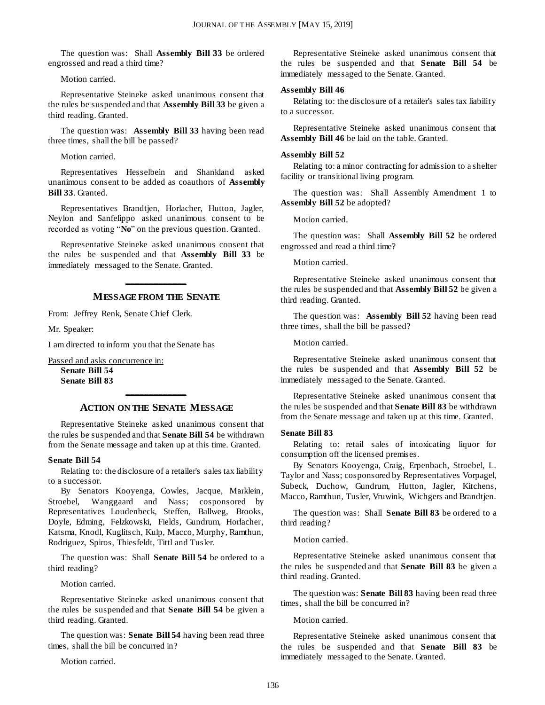The question was: Shall **Assembly Bill 33** be ordered engrossed and read a third time?

Motion carried.

Representative Steineke asked unanimous consent that the rules be suspended and that **Assembly Bill 33** be given a third reading. Granted.

The question was: **Assembly Bill 33** having been read three times, shall the bill be passed?

Motion carried.

Representatives Hesselbein and Shankland asked unanimous consent to be added as coauthors of **Assembly Bill 33**. Granted.

Representatives Brandtjen, Horlacher, Hutton, Jagler, Neylon and Sanfelippo asked unanimous consent to be recorded as voting "**No**" on the previous question. Granted.

Representative Steineke asked unanimous consent that the rules be suspended and that **Assembly Bill 33** be immediately messaged to the Senate. Granted.

## **\_\_\_\_\_\_\_\_\_\_\_\_\_ MESSAGE FROM THE SENATE**

From: Jeffrey Renk, Senate Chief Clerk.

Mr. Speaker:

I am directed to inform you that the Senate has

Passed and asks concurrence in:

**Senate Bill 54 Senate Bill 83**

## **\_\_\_\_\_\_\_\_\_\_\_\_\_ ACTION ON THE SENATE MESSAGE**

Representative Steineke asked unanimous consent that the rules be suspended and that **Senate Bill 54** be withdrawn from the Senate message and taken up at this time. Granted.

#### **Senate Bill 54**

Relating to: the disclosure of a retailer's sales tax liability to a successor.

By Senators Kooyenga, Cowles, Jacque, Marklein, Stroebel, Wanggaard and Nass; cosponsored by Representatives Loudenbeck, Steffen, Ballweg, Brooks, Doyle, Edming, Felzkowski, Fields, Gundrum, Horlacher, Katsma, Knodl, Kuglitsch, Kulp, Macco, Murphy, Ramthun, Rodriguez, Spiros, Thiesfeldt, Tittl and Tusler.

The question was: Shall **Senate Bill 54** be ordered to a third reading?

Motion carried.

Representative Steineke asked unanimous consent that the rules be suspended and that **Senate Bill 54** be given a third reading. Granted.

The question was: **Senate Bill 54** having been read three times, shall the bill be concurred in?

Motion carried.

Representative Steineke asked unanimous consent that the rules be suspended and that **Senate Bill 54** be immediately messaged to the Senate. Granted.

#### **Assembly Bill 46**

Relating to: the disclosure of a retailer's sales tax liability to a successor.

Representative Steineke asked unanimous consent that **Assembly Bill 46** be laid on the table. Granted.

#### **Assembly Bill 52**

Relating to: a minor contracting for admission to a shelter facility or transitional living program.

The question was: Shall Assembly Amendment 1 to **Assembly Bill 52** be adopted?

Motion carried.

The question was: Shall **Assembly Bill 52** be ordered engrossed and read a third time?

Motion carried.

Representative Steineke asked unanimous consent that the rules be suspended and that **Assembly Bill 52** be given a third reading. Granted.

The question was: **Assembly Bill 52** having been read three times, shall the bill be passed?

Motion carried.

Representative Steineke asked unanimous consent that the rules be suspended and that **Assembly Bill 52** be immediately messaged to the Senate. Granted.

Representative Steineke asked unanimous consent that the rules be suspended and that **Senate Bill 83** be withdrawn from the Senate message and taken up at this time. Granted.

#### **Senate Bill 83**

Relating to: retail sales of intoxicating liquor for consumption off the licensed premises.

By Senators Kooyenga, Craig, Erpenbach, Stroebel, L. Taylor and Nass; cosponsored by Representatives Vorpagel, Subeck, Duchow, Gundrum, Hutton, Jagler, Kitchens, Macco, Ramthun, Tusler, Vruwink, Wichgers and Brandtjen.

The question was: Shall **Senate Bill 83** be ordered to a third reading?

Motion carried.

Representative Steineke asked unanimous consent that the rules be suspended and that **Senate Bill 83** be given a third reading. Granted.

The question was: **Senate Bill 83** having been read three times, shall the bill be concurred in?

Motion carried.

Representative Steineke asked unanimous consent that the rules be suspended and that **Senate Bill 83** be immediately messaged to the Senate. Granted.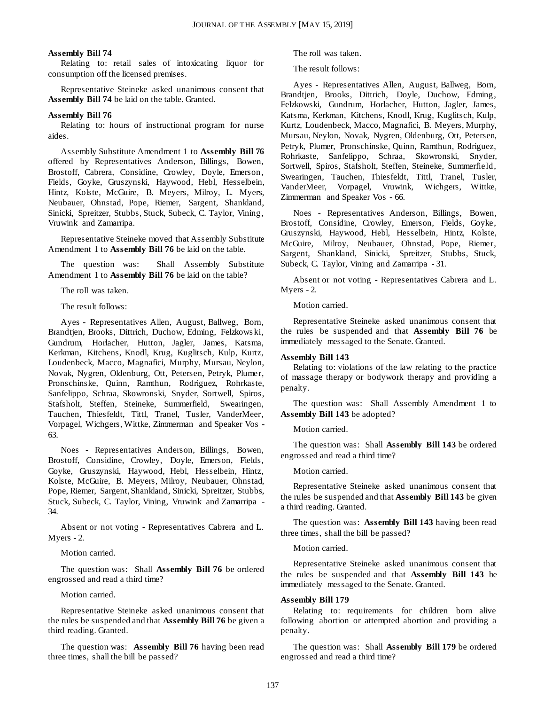#### **Assembly Bill 74**

Relating to: retail sales of intoxicating liquor for consumption off the licensed premises.

Representative Steineke asked unanimous consent that **Assembly Bill 74** be laid on the table. Granted.

#### **Assembly Bill 76**

Relating to: hours of instructional program for nurse aides.

Assembly Substitute Amendment 1 to **Assembly Bill 76** offered by Representatives Anderson, Billings, Bowen, Brostoff, Cabrera, Considine, Crowley, Doyle, Emerson, Fields, Goyke, Gruszynski, Haywood, Hebl, Hesselbein, Hintz, Kolste, McGuire, B. Meyers, Milroy, L. Myers, Neubauer, Ohnstad, Pope, Riemer, Sargent, Shankland, Sinicki, Spreitzer, Stubbs, Stuck, Subeck, C. Taylor, Vining, Vruwink and Zamarripa.

Representative Steineke moved that Assembly Substitute Amendment 1 to **Assembly Bill 76** be laid on the table.

The question was: Shall Assembly Substitute Amendment 1 to **Assembly Bill 76** be laid on the table?

The roll was taken.

The result follows:

Ayes - Representatives Allen, August, Ballweg, Born, Brandtjen, Brooks, Dittrich, Duchow, Edming, Felzkows ki, Gundrum, Horlacher, Hutton, Jagler, James, Katsma, Kerkman, Kitchens, Knodl, Krug, Kuglitsch, Kulp, Kurtz, Loudenbeck, Macco, Magnafici, Murphy, Mursau, Neylon, Novak, Nygren, Oldenburg, Ott, Petersen, Petryk, Plumer, Pronschinske, Quinn, Ramthun, Rodriguez, Rohrkaste, Sanfelippo, Schraa, Skowronski, Snyder, Sortwell, Spiros, Stafsholt, Steffen, Steineke, Summerfield, Swearingen, Tauchen, Thiesfeldt, Tittl, Tranel, Tusler, VanderMeer, Vorpagel, Wichgers, Wittke, Zimmerman and Speaker Vos - 63.

Noes - Representatives Anderson, Billings, Bowen, Brostoff, Considine, Crowley, Doyle, Emerson, Fields, Goyke, Gruszynski, Haywood, Hebl, Hesselbein, Hintz, Kolste, McGuire, B. Meyers, Milroy, Neubauer, Ohnstad, Pope, Riemer, Sargent, Shankland, Sinicki, Spreitzer, Stubbs, Stuck, Subeck, C. Taylor, Vining, Vruwink and Zamarripa - 34.

Absent or not voting - Representatives Cabrera and L. Myers - 2.

Motion carried.

The question was: Shall **Assembly Bill 76** be ordered engrossed and read a third time?

Motion carried.

Representative Steineke asked unanimous consent that the rules be suspended and that **Assembly Bill 76** be given a third reading. Granted.

The question was: **Assembly Bill 76** having been read three times, shall the bill be passed?

The roll was taken.

The result follows:

Ayes - Representatives Allen, August, Ballweg, Born, Brandtjen, Brooks, Dittrich, Doyle, Duchow, Edming, Felzkowski, Gundrum, Horlacher, Hutton, Jagler, James, Katsma, Kerkman, Kitchens, Knodl, Krug, Kuglitsch, Kulp, Kurtz, Loudenbeck, Macco, Magnafici, B. Meyers, Murphy, Mursau, Neylon, Novak, Nygren, Oldenburg, Ott, Petersen, Petryk, Plumer, Pronschinske, Quinn, Ramthun, Rodriguez, Rohrkaste, Sanfelippo, Schraa, Skowronski, Snyder, Sortwell, Spiros, Stafsholt, Steffen, Steineke, Summerfield, Swearingen, Tauchen, Thiesfeldt, Tittl, Tranel, Tusler, VanderMeer, Vorpagel, Vruwink, Wichgers, Wittke, Zimmerman and Speaker Vos - 66.

Noes - Representatives Anderson, Billings, Bowen, Brostoff, Considine, Crowley, Emerson, Fields, Goyke, Gruszynski, Haywood, Hebl, Hesselbein, Hintz, Kolste, McGuire, Milroy, Neubauer, Ohnstad, Pope, Riemer, Sargent, Shankland, Sinicki, Spreitzer, Stubbs, Stuck, Subeck, C. Taylor, Vining and Zamarripa - 31.

Absent or not voting - Representatives Cabrera and L. Myers - 2.

Motion carried.

Representative Steineke asked unanimous consent that the rules be suspended and that **Assembly Bill 76** be immediately messaged to the Senate. Granted.

#### **Assembly Bill 143**

Relating to: violations of the law relating to the practice of massage therapy or bodywork therapy and providing a penalty.

The question was: Shall Assembly Amendment 1 to **Assembly Bill 143** be adopted?

Motion carried.

The question was: Shall **Assembly Bill 143** be ordered engrossed and read a third time?

Motion carried.

Representative Steineke asked unanimous consent that the rules be suspended and that **Assembly Bill 143** be given a third reading. Granted.

The question was: **Assembly Bill 143** having been read three times, shall the bill be passed?

Motion carried.

Representative Steineke asked unanimous consent that the rules be suspended and that **Assembly Bill 143** be immediately messaged to the Senate. Granted.

#### **Assembly Bill 179**

Relating to: requirements for children born alive following abortion or attempted abortion and providing a penalty.

The question was: Shall **Assembly Bill 179** be ordered engrossed and read a third time?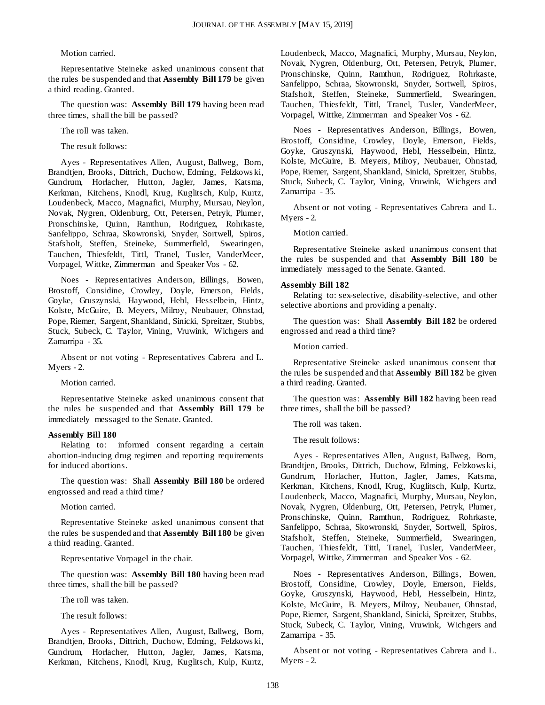#### Motion carried.

Representative Steineke asked unanimous consent that the rules be suspended and that **Assembly Bill 179** be given a third reading. Granted.

The question was: **Assembly Bill 179** having been read three times, shall the bill be passed?

The roll was taken.

The result follows:

Ayes - Representatives Allen, August, Ballweg, Born, Brandtjen, Brooks, Dittrich, Duchow, Edming, Felzkows ki, Gundrum, Horlacher, Hutton, Jagler, James, Katsma, Kerkman, Kitchens, Knodl, Krug, Kuglitsch, Kulp, Kurtz, Loudenbeck, Macco, Magnafici, Murphy, Mursau, Neylon, Novak, Nygren, Oldenburg, Ott, Petersen, Petryk, Plumer, Pronschinske, Quinn, Ramthun, Rodriguez, Rohrkaste, Sanfelippo, Schraa, Skowronski, Snyder, Sortwell, Spiros, Stafsholt, Steffen, Steineke, Summerfield, Swearingen, Tauchen, Thiesfeldt, Tittl, Tranel, Tusler, VanderMeer, Vorpagel, Wittke, Zimmerman and Speaker Vos - 62.

Noes - Representatives Anderson, Billings, Bowen, Brostoff, Considine, Crowley, Doyle, Emerson, Fields, Goyke, Gruszynski, Haywood, Hebl, Hesselbein, Hintz, Kolste, McGuire, B. Meyers, Milroy, Neubauer, Ohnstad, Pope, Riemer, Sargent, Shankland, Sinicki, Spreitzer, Stubbs, Stuck, Subeck, C. Taylor, Vining, Vruwink, Wichgers and Zamarripa - 35.

Absent or not voting - Representatives Cabrera and L. Myers - 2.

Motion carried.

Representative Steineke asked unanimous consent that the rules be suspended and that **Assembly Bill 179** be immediately messaged to the Senate. Granted.

#### **Assembly Bill 180**

Relating to: informed consent regarding a certain abortion-inducing drug regimen and reporting requirements for induced abortions.

The question was: Shall **Assembly Bill 180** be ordered engrossed and read a third time?

Motion carried.

Representative Steineke asked unanimous consent that the rules be suspended and that **Assembly Bill 180** be given a third reading. Granted.

Representative Vorpagel in the chair.

The question was: **Assembly Bill 180** having been read three times, shall the bill be passed?

The roll was taken.

The result follows:

Ayes - Representatives Allen, August, Ballweg, Born, Brandtjen, Brooks, Dittrich, Duchow, Edming, Felzkows ki, Gundrum, Horlacher, Hutton, Jagler, James, Katsma, Kerkman, Kitchens, Knodl, Krug, Kuglitsch, Kulp, Kurtz, Loudenbeck, Macco, Magnafici, Murphy, Mursau, Neylon, Novak, Nygren, Oldenburg, Ott, Petersen, Petryk, Plumer, Pronschinske, Quinn, Ramthun, Rodriguez, Rohrkaste, Sanfelippo, Schraa, Skowronski, Snyder, Sortwell, Spiros, Stafsholt, Steffen, Steineke, Summerfield, Swearingen, Tauchen, Thiesfeldt, Tittl, Tranel, Tusler, VanderMeer, Vorpagel, Wittke, Zimmerman and Speaker Vos - 62.

Noes - Representatives Anderson, Billings, Bowen, Brostoff, Considine, Crowley, Doyle, Emerson, Fields, Goyke, Gruszynski, Haywood, Hebl, Hesselbein, Hintz, Kolste, McGuire, B. Meyers, Milroy, Neubauer, Ohnstad, Pope, Riemer, Sargent, Shankland, Sinicki, Spreitzer, Stubbs, Stuck, Subeck, C. Taylor, Vining, Vruwink, Wichgers and Zamarripa - 35.

Absent or not voting - Representatives Cabrera and L. Myers - 2.

Motion carried.

Representative Steineke asked unanimous consent that the rules be suspended and that **Assembly Bill 180** be immediately messaged to the Senate. Granted.

### **Assembly Bill 182**

Relating to: sex-selective, disability-selective, and other selective abortions and providing a penalty.

The question was: Shall **Assembly Bill 182** be ordered engrossed and read a third time?

Motion carried.

Representative Steineke asked unanimous consent that the rules be suspended and that **Assembly Bill 182** be given a third reading. Granted.

The question was: **Assembly Bill 182** having been read three times, shall the bill be passed?

The roll was taken.

The result follows:

Ayes - Representatives Allen, August, Ballweg, Born, Brandtjen, Brooks, Dittrich, Duchow, Edming, Felzkows ki, Gundrum, Horlacher, Hutton, Jagler, James, Katsma, Kerkman, Kitchens, Knodl, Krug, Kuglitsch, Kulp, Kurtz, Loudenbeck, Macco, Magnafici, Murphy, Mursau, Neylon, Novak, Nygren, Oldenburg, Ott, Petersen, Petryk, Plumer, Pronschinske, Quinn, Ramthun, Rodriguez, Rohrkaste, Sanfelippo, Schraa, Skowronski, Snyder, Sortwell, Spiros, Stafsholt, Steffen, Steineke, Summerfield, Swearingen, Tauchen, Thiesfeldt, Tittl, Tranel, Tusler, VanderMeer, Vorpagel, Wittke, Zimmerman and Speaker Vos - 62.

Noes - Representatives Anderson, Billings, Bowen, Brostoff, Considine, Crowley, Doyle, Emerson, Fields, Goyke, Gruszynski, Haywood, Hebl, Hesselbein, Hintz, Kolste, McGuire, B. Meyers, Milroy, Neubauer, Ohnstad, Pope, Riemer, Sargent, Shankland, Sinicki, Spreitzer, Stubbs, Stuck, Subeck, C. Taylor, Vining, Vruwink, Wichgers and Zamarripa - 35.

Absent or not voting - Representatives Cabrera and L. Myers - 2.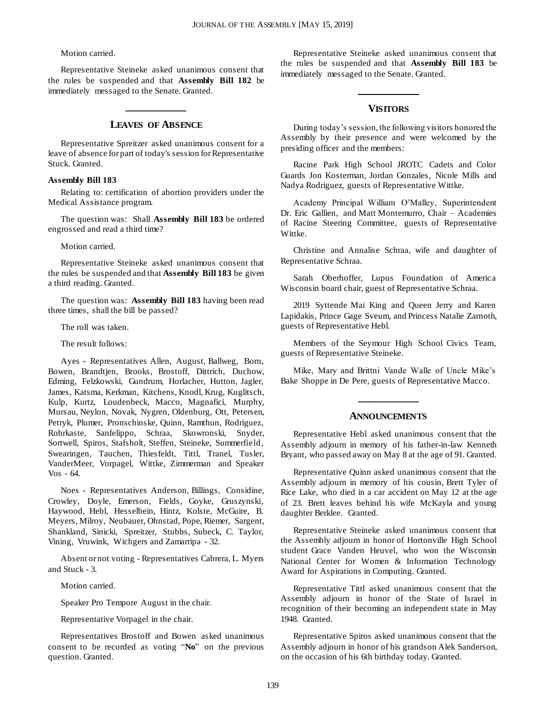#### Motion carried.

Representative Steineke asked unanimous consent that the rules be suspended and that **Assembly Bill 182** be immediately messaged to the Senate. Granted.

## **\_\_\_\_\_\_\_\_\_\_\_\_\_ LEAVES OF ABSENCE**

Representative Spreitzer asked unanimous consent for a leave of absence for part of today's session for Representative Stuck. Granted.

#### **Assembly Bill 183**

Relating to: certification of abortion providers under the Medical Assistance program.

The question was: Shall **Assembly Bill 183** be ordered engrossed and read a third time?

Motion carried.

Representative Steineke asked unanimous consent that the rules be suspended and that **Assembly Bill 183** be given a third reading. Granted.

The question was: **Assembly Bill 183** having been read three times, shall the bill be passed?

The roll was taken.

The result follows:

Ayes - Representatives Allen, August, Ballweg, Born, Bowen, Brandtjen, Brooks, Brostoff, Dittrich, Duchow, Edming, Felzkowski, Gundrum, Horlacher, Hutton, Jagler, James, Katsma, Kerkman, Kitchens, Knodl, Krug, Kuglitsch, Kulp, Kurtz, Loudenbeck, Macco, Magnafici, Murphy, Mursau, Neylon, Novak, Nygren, Oldenburg, Ott, Petersen, Petryk, Plumer, Pronschinske, Quinn, Ramthun, Rodriguez, Rohrkaste, Sanfelippo, Schraa, Skowronski, Snyder, Sortwell, Spiros, Stafsholt, Steffen, Steineke, Summerfield, Swearingen, Tauchen, Thiesfeldt, Tittl, Tranel, Tusler, VanderMeer, Vorpagel, Wittke, Zimmerman and Speaker Vos - 64.

Noes - Representatives Anderson, Billings, Considine, Crowley, Doyle, Emerson, Fields, Goyke, Gruszynski, Haywood, Hebl, Hesselbein, Hintz, Kolste, McGuire, B. Meyers, Milroy, Neubauer, Ohnstad, Pope, Riemer, Sargent, Shankland, Sinicki, Spreitzer, Stubbs, Subeck, C. Taylor, Vining, Vruwink, Wichgers and Zamarripa - 32.

Absent or not voting - Representatives Cabrera, L. Myers and Stuck - 3.

Motion carried.

Speaker Pro Tempore August in the chair.

Representative Vorpagel in the chair.

Representatives Brostoff and Bowen asked unanimous consent to be recorded as voting "**No**" on the previous question. Granted.

Representative Steineke asked unanimous consent that the rules be suspended and that **Assembly Bill 183** be immediately messaged to the Senate. Granted.

#### **VISITORS**

**\_\_\_\_\_\_\_\_\_\_\_\_\_**

During today's session, the following visitors honored the Assembly by their presence and were welcomed by the presiding officer and the members:

Racine Park High School JROTC Cadets and Color Guards Jon Kosterman, Jordan Gonzales, Nicole Mills and Nadya Rodriguez, guests of Representative Wittke.

Academy Principal William O'Malley, Superintendent Dr. Eric Gallien, and Matt Montemurro, Chair – Academies of Racine Steering Committee, guests of Representative Wittke.

Christine and Annalise Schraa, wife and daughter of Representative Schraa.

Sarah Oberhoffer, Lupus Foundation of America Wisconsin board chair, guest of Representative Schraa.

2019 Syttende Mai King and Queen Jerry and Karen Lapidakis, Prince Gage Sveum, and Princess Natalie Zarnoth, guests of Representative Hebl.

Members of the Seymour High School Civics Team, guests of Representative Steineke.

Mike, Mary and Brittni Vande Walle of Uncle Mike's Bake Shoppe in De Pere, guests of Representative Macco.

#### **ANNOUNCEMENTS**

**\_\_\_\_\_\_\_\_\_\_\_\_\_**

Representative Hebl asked unanimous consent that the Assembly adjourn in memory of his father-in-law Kenneth Bryant, who passed away on May 8 at the age of 91. Granted.

Representative Quinn asked unanimous consent that the Assembly adjourn in memory of his cousin, Brett Tyler of Rice Lake, who died in a car accident on May 12 at the age of 23. Brett leaves behind his wife McKayla and young daughter Berklee. Granted.

Representative Steineke asked unanimous consent that the Assembly adjourn in honor of Hortonville High School student Grace Vanden Heuvel, who won the Wisconsin National Center for Women & Information Technology Award for Aspirations in Computing. Granted.

Representative Tittl asked unanimous consent that the Assembly adjourn in honor of the State of Israel in recognition of their becoming an independent state in May 1948. Granted.

Representative Spiros asked unanimous consent that the Assembly adjourn in honor of his grandson Alek Sanderson, on the occasion of his 6th birthday today. Granted.